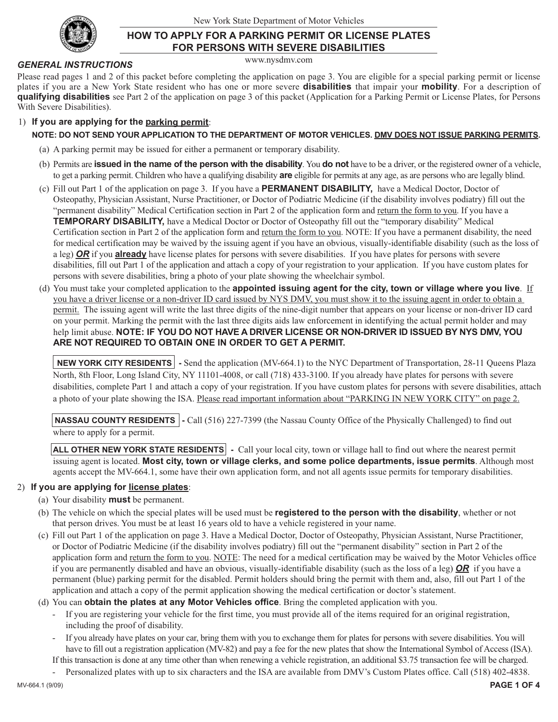

## **HOW TO APPLY FOR A PARKING PERMIT OR LICENSE PLATES FOR PERSONS WITH SEVERE DISABILITIES**

www.nysdmv.com

*GENERAL INSTRUCTIONS*

Please read pages 1 and 2 of this packet before completing the application on page 3. You are eligible for a special parking permit or license plates if you are a New York State resident who has one or more severe **disabilities** that impair your **mobility**. For a description of **qualifying disabilities** see Part 2 of the application on page 3 of this packet (Application for a Parking Permit or License Plates, for Persons With Severe Disabilities).

#### 1) **If you are applying for the parking permit**:

#### **NOTE: DO NOT SEND YOUR APPLICATION TO THE DEPARTMENT OF MOTOR VEHICLES. DMV DOES NOT ISSUE PARKING PERMITS.**

- (a) A parking permit may be issued for either a permanent or temporary disability.
- (b) Permits are **issued in the name of the person with the disability**. You **do not** have to be a driver, or the registered owner of a vehicle, to get a parking permit. Children who have a qualifying disability **are** eligible for permits at any age, as are persons who are legally blind.
- (c) Fill out Part 1 of the application on page 3. If you have a **PERMANENT DISABILITY,** have a Medical Doctor, Doctor of Osteopathy, Physician Assistant, Nurse Practitioner, or Doctor of Podiatric Medicine (if the disability involves podiatry) fill out the "permanent disability" Medical Certification section in Part 2 of the application form and return the form to you. If you have a **TEMPORARY DISABILITY,** have a Medical Doctor or Doctor of Osteopathy fill out the "temporary disability" Medical Certification section in Part 2 of the application form and return the form to you. NOTE: If you have a permanent disability, the need for medical certification may be waived by the issuing agent if you have an obvious, visually-identifiable disability (such as the loss of a leg) *OR* if you **already** have license plates for persons with severe disabilities. If you have plates for persons with severe disabilities, fill out Part 1 of the application and attach a copy of your registration to your application. If you have custom plates for persons with severe disabilities, bring a photo of your plate showing the wheelchair symbol.
- (d) You must take your completed application to the **appointed issuing agent for the city, town or village where you live**. If you have a driver license or a non-driver ID card issued by NYS DMV, you must show it to the issuing agent in order to obtain a permit. The issuing agent will write the last three digits of the nine-digit number that appears on your license or non-driver ID card on your permit. Marking the permit with the last three digits aids law enforcement in identifying the actual permit holder and may help limit abuse. **NOTE: IF YOU DO NOT HAVE A DRIVER LICENSE OR NON-DRIVER ID ISSUED BY NYS DMV, YOU ARE NOT REQUIRED TO OBTAIN ONE IN ORDER TO GET A PERMIT.**

**NEW YORK CITY RESIDENTS** - Send the application (MV-664.1) to the NYC Department of Transportation, 28-11 Queens Plaza North, 8th Floor, Long Island City, NY 11101-4008, or call (718) 433-3100. If you already have plates for persons with severe disabilities, complete Part 1 and attach a copy of your registration. If you have custom plates for persons with severe disabilities, attach a photo of your plate showing the ISA. Please read important information about "PARKING IN NEW YORK CITY" on page 2.

**NASSAU COUNTY RESIDENTS** - Call (516) 227-7399 (the Nassau County Office of the Physically Challenged) to find out where to apply for a permit.

**ALL OTHER NEW YORK STATE RESIDENTS** - Call your local city, town or village hall to find out where the nearest permit issuing agent is located. **Most city, town or village clerks, and some police departments, issue permits**. Although most agents accept the MV-664.1, some have their own application form, and not all agents issue permits for temporary disabilities.

### 2) **If you are applying for license plates**:

- (a) Your disability **must** be permanent.
- (b) The vehicle on which the special plates will be used must be **registered to the person with the disability**, whether or not that person drives. You must be at least 16 years old to have a vehicle registered in your name.
- (c) Fill out Part 1 of the application on page 3. Have a Medical Doctor, Doctor of Osteopathy, Physician Assistant, Nurse Practitioner, or Doctor of Podiatric Medicine (if the disability involves podiatry) fill out the "permanent disability" section in Part 2 of the application form and return the form to you. NOTE: The need for a medical certification may be waived by the Motor Vehicles office if you are permanently disabled and have an obvious, visually-identifiable disability (such as the loss of a leg) *OR* if you have a permanent (blue) parking permit for the disabled. Permit holders should bring the permit with them and, also, fill out Part 1 of the application and attach a copy of the permit application showing the medical certification or doctor's statement.

(d) You can **obtain the plates at any Motor Vehicles office**. Bring the completed application with you.

- If you are registering your vehicle for the first time, you must provide all of the items required for an original registration, including the proof of disability.
- If you already have plates on your car, bring them with you to exchange them for plates for persons with severe disabilities. You will have to fill out a registration application (MV-82) and pay a fee for the new plates that show the International Symbol of Access (ISA).
- If this transaction is done at any time other than when renewing a vehicle registration, an additional \$3.75 transaction fee will be charged.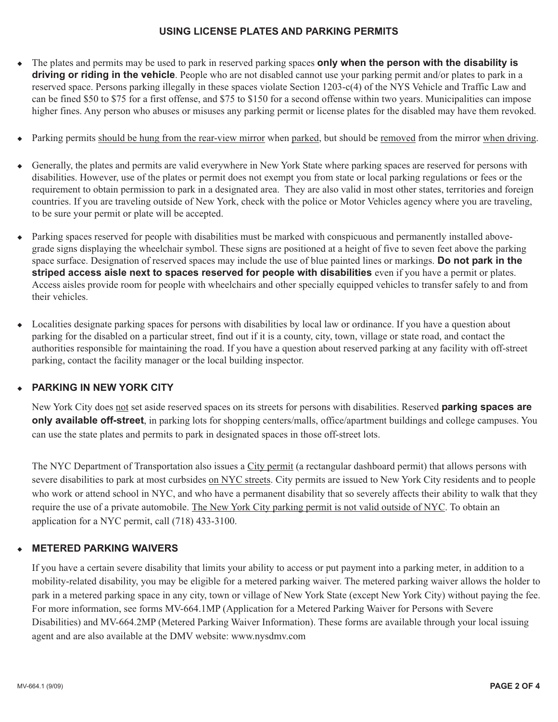### **USING LICENSE PLATES AND PARKING PERMITS**

- ◆ The plates and permits may be used to park in reserved parking spaces **only when the person with the disability is driving or riding in the vehicle**. People who are not disabled cannot use your parking permit and/or plates to park in a reserved space. Persons parking illegally in these spaces violate Section 1203-c(4) of the NYS Vehicle and Traffic Law and can be fined \$50 to \$75 for a first offense, and \$75 to \$150 for a second offense within two years. Municipalities can impose higher fines. Any person who abuses or misuses any parking permit or license plates for the disabled may have them revoked.
- Parking permits should be hung from the rear-view mirror when parked, but should be removed from the mirror when driving.
- ◆ Generally, the plates and permits are valid everywhere in New York State where parking spaces are reserved for persons with disabilities. However, use of the plates or permit does not exempt you from state or local parking regulations or fees or the requirement to obtain permission to park in a designated area. They are also valid in most other states, territories and foreign countries. If you are traveling outside of New York, check with the police or Motor Vehicles agency where you are traveling, to be sure your permit or plate will be accepted.
- ◆ Parking spaces reserved for people with disabilities must be marked with conspicuous and permanently installed abovegrade signs displaying the wheelchair symbol. These signs are positioned at a height of five to seven feet above the parking space surface. Designation of reserved spaces may include the use of blue painted lines or markings. **Do not park in the striped access aisle next to spaces reserved for people with disabilities** even if you have a permit or plates. Access aisles provide room for people with wheelchairs and other specially equipped vehicles to transfer safely to and from their vehicles.
- ◆ Localities designate parking spaces for persons with disabilities by local law or ordinance. If you have a question about parking for the disabled on a particular street, find out if it is a county, city, town, village or state road, and contact the authorities responsible for maintaining the road. If you have a question about reserved parking at any facility with off-street parking, contact the facility manager or the local building inspector.

## **PARKING IN NEW YORK CITY**

New York City does not set aside reserved spaces on its streets for persons with disabilities. Reserved **parking spaces are only available off-street**, in parking lots for shopping centers/malls, office/apartment buildings and college campuses. You can use the state plates and permits to park in designated spaces in those off-street lots.

The NYC Department of Transportation also issues a City permit (a rectangular dashboard permit) that allows persons with severe disabilities to park at most curbsides on NYC streets. City permits are issued to New York City residents and to people who work or attend school in NYC, and who have a permanent disability that so severely affects their ability to walk that they require the use of a private automobile. The New York City parking permit is not valid outside of NYC. To obtain an application for a NYC permit, call (718) 433-3100.

### **METERED PARKING WAIVERS**

If you have a certain severe disability that limits your ability to access or put payment into a parking meter, in addition to a mobility-related disability, you may be eligible for a metered parking waiver. The metered parking waiver allows the holder to park in a metered parking space in any city, town or village of New York State (except New York City) without paying the fee. For more information, see forms MV-664.1MP (Application for a Metered Parking Waiver for Persons with Severe Disabilities) and MV-664.2MP (Metered Parking Waiver Information). These forms are available through your local issuing agent and are also available at the DMV website: www.nysdmv.com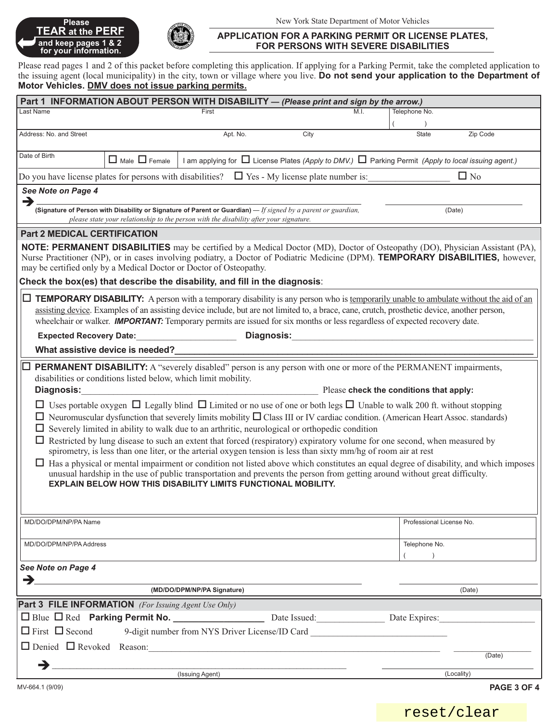## **Please TEAR at the PERF FEAR at the PERF**<br>and keep pages 1 & 2<br>for your information.



#### **APPLICATION FOR A PARKING PERMIT OR LICENSE PLATES, FOR PERSONS WITH SEVERE DISABILITIES**

Please read pages 1 and 2 of this packet before completing this application. If applying for a Parking Permit, take the completed application to the issuing agent (local municipality) in the city, town or village where you live. **Do not send your application to the Department of Motor Vehicles. DMV does not issue parking permits.**

| Part 1 INFORMATION ABOUT PERSON WITH DISABILITY - (Please print and sign by the arrow.)                                                                                                                                                                                |                                  |                                                                            |                                                                                                                                                                                                                                                     |                                                                                                                                                                                                                                                                                                           |             |
|------------------------------------------------------------------------------------------------------------------------------------------------------------------------------------------------------------------------------------------------------------------------|----------------------------------|----------------------------------------------------------------------------|-----------------------------------------------------------------------------------------------------------------------------------------------------------------------------------------------------------------------------------------------------|-----------------------------------------------------------------------------------------------------------------------------------------------------------------------------------------------------------------------------------------------------------------------------------------------------------|-------------|
| Last Name                                                                                                                                                                                                                                                              |                                  | First                                                                      | M.L.                                                                                                                                                                                                                                                | Telephone No.                                                                                                                                                                                                                                                                                             |             |
| Address: No. and Street                                                                                                                                                                                                                                                |                                  | Apt. No.                                                                   | City                                                                                                                                                                                                                                                | Zip Code<br><b>State</b>                                                                                                                                                                                                                                                                                  |             |
|                                                                                                                                                                                                                                                                        |                                  |                                                                            |                                                                                                                                                                                                                                                     |                                                                                                                                                                                                                                                                                                           |             |
| Date of Birth                                                                                                                                                                                                                                                          | $\Box$ Male $\Box$ Female        |                                                                            |                                                                                                                                                                                                                                                     | I am applying for $\Box$ License Plates (Apply to DMV.) $\Box$ Parking Permit (Apply to local issuing agent.)                                                                                                                                                                                             |             |
| Do you have license plates for persons with disabilities? $\Box$ Yes - My license plate number is:<br>$\Box$ No                                                                                                                                                        |                                  |                                                                            |                                                                                                                                                                                                                                                     |                                                                                                                                                                                                                                                                                                           |             |
| See Note on Page 4<br>$\rightarrow$                                                                                                                                                                                                                                    |                                  |                                                                            |                                                                                                                                                                                                                                                     |                                                                                                                                                                                                                                                                                                           |             |
| (Signature of Person with Disability or Signature of Parent or Guardian) $-$ If signed by a parent or guardian,<br>(Date)<br>please state your relationship to the person with the disability after your signature.                                                    |                                  |                                                                            |                                                                                                                                                                                                                                                     |                                                                                                                                                                                                                                                                                                           |             |
| <b>Part 2 MEDICAL CERTIFICATION</b>                                                                                                                                                                                                                                    |                                  |                                                                            |                                                                                                                                                                                                                                                     |                                                                                                                                                                                                                                                                                                           |             |
|                                                                                                                                                                                                                                                                        |                                  | may be certified only by a Medical Doctor or Doctor of Osteopathy.         |                                                                                                                                                                                                                                                     | NOTE: PERMANENT DISABILITIES may be certified by a Medical Doctor (MD), Doctor of Osteopathy (DO), Physician Assistant (PA),<br>Nurse Practitioner (NP), or in cases involving podiatry, a Doctor of Podiatric Medicine (DPM). TEMPORARY DISABILITIES, however,                                           |             |
|                                                                                                                                                                                                                                                                        |                                  | Check the box(es) that describe the disability, and fill in the diagnosis: |                                                                                                                                                                                                                                                     |                                                                                                                                                                                                                                                                                                           |             |
|                                                                                                                                                                                                                                                                        |                                  |                                                                            | wheelchair or walker. <b>IMPORTANT:</b> Temporary permits are issued for six months or less regardless of expected recovery date.                                                                                                                   | $\Box$ <b>TEMPORARY DISABILITY:</b> A person with a temporary disability is any person who is <u>temporarily unable to ambulate without the aid of an</u><br>assisting device. Examples of an assisting device include, but are not limited to, a brace, cane, crutch, prosthetic device, another person, |             |
| <b>Expected Recovery Date:</b>                                                                                                                                                                                                                                         |                                  |                                                                            |                                                                                                                                                                                                                                                     |                                                                                                                                                                                                                                                                                                           |             |
|                                                                                                                                                                                                                                                                        | What assistive device is needed? |                                                                            |                                                                                                                                                                                                                                                     |                                                                                                                                                                                                                                                                                                           |             |
|                                                                                                                                                                                                                                                                        |                                  |                                                                            |                                                                                                                                                                                                                                                     | <b>PERMANENT DISABILITY:</b> A "severely disabled" person is any person with one or more of the PERMANENT impairments,                                                                                                                                                                                    |             |
|                                                                                                                                                                                                                                                                        |                                  | disabilities or conditions listed below, which limit mobility.             |                                                                                                                                                                                                                                                     |                                                                                                                                                                                                                                                                                                           |             |
| <b>Diagnosis:</b><br>Please check the conditions that apply:<br><u> 1989 - Johann Barnett, fransk politiker (d. 1989)</u>                                                                                                                                              |                                  |                                                                            |                                                                                                                                                                                                                                                     |                                                                                                                                                                                                                                                                                                           |             |
| □ Uses portable oxygen □ Legally blind □ Limited or no use of one or both legs □ Unable to walk 200 ft. without stopping<br>$\Box$ Neuromuscular dysfunction that severely limits mobility $\Box$ Class III or IV cardiac condition. (American Heart Assoc. standards) |                                  |                                                                            |                                                                                                                                                                                                                                                     |                                                                                                                                                                                                                                                                                                           |             |
| $\Box$ Severely limited in ability to walk due to an arthritic, neurological or orthopedic condition                                                                                                                                                                   |                                  |                                                                            |                                                                                                                                                                                                                                                     |                                                                                                                                                                                                                                                                                                           |             |
|                                                                                                                                                                                                                                                                        |                                  |                                                                            | $\Box$ Restricted by lung disease to such an extent that forced (respiratory) expiratory volume for one second, when measured by<br>spirometry, is less than one liter, or the arterial oxygen tension is less than sixty mm/hg of room air at rest |                                                                                                                                                                                                                                                                                                           |             |
|                                                                                                                                                                                                                                                                        |                                  | EXPLAIN BELOW HOW THIS DISABILITY LIMITS FUNCTIONAL MOBILITY.              | unusual hardship in the use of public transportation and prevents the person from getting around without great difficulty.                                                                                                                          | $\Box$ Has a physical or mental impairment or condition not listed above which constitutes an equal degree of disability, and which imposes                                                                                                                                                               |             |
|                                                                                                                                                                                                                                                                        |                                  |                                                                            |                                                                                                                                                                                                                                                     |                                                                                                                                                                                                                                                                                                           |             |
| MD/DO/DPM/NP/PA Name                                                                                                                                                                                                                                                   |                                  |                                                                            |                                                                                                                                                                                                                                                     | Professional License No.                                                                                                                                                                                                                                                                                  |             |
| MD/DO/DPM/NP/PA Address                                                                                                                                                                                                                                                |                                  |                                                                            |                                                                                                                                                                                                                                                     | Telephone No.<br>$\lambda$                                                                                                                                                                                                                                                                                |             |
| See Note on Page 4                                                                                                                                                                                                                                                     |                                  |                                                                            |                                                                                                                                                                                                                                                     |                                                                                                                                                                                                                                                                                                           |             |
| $\rightarrow$                                                                                                                                                                                                                                                          |                                  |                                                                            |                                                                                                                                                                                                                                                     |                                                                                                                                                                                                                                                                                                           |             |
|                                                                                                                                                                                                                                                                        |                                  | (MD/DO/DPM/NP/PA Signature)                                                |                                                                                                                                                                                                                                                     | (Date)                                                                                                                                                                                                                                                                                                    |             |
| <b>Part 3 FILE INFORMATION</b> (For Issuing Agent Use Only)                                                                                                                                                                                                            |                                  |                                                                            |                                                                                                                                                                                                                                                     |                                                                                                                                                                                                                                                                                                           |             |
| $\Box$ First $\Box$ Second                                                                                                                                                                                                                                             |                                  |                                                                            | 9-digit number from NYS Driver License/ID Card                                                                                                                                                                                                      | Date Expires:                                                                                                                                                                                                                                                                                             |             |
|                                                                                                                                                                                                                                                                        |                                  |                                                                            |                                                                                                                                                                                                                                                     |                                                                                                                                                                                                                                                                                                           |             |
|                                                                                                                                                                                                                                                                        |                                  |                                                                            | □ Denied □ Revoked Reason: Version Alberta Contractor Contractor Contractor Contractor Contractor Contractor Contractor Contractor Contractor Contractor Contractor Contractor Contractor Contractor Contractor Contractor Co                       | (Date)                                                                                                                                                                                                                                                                                                    |             |
| $\rightarrow$                                                                                                                                                                                                                                                          |                                  | (Issuing Agent)                                                            |                                                                                                                                                                                                                                                     | (Locality)                                                                                                                                                                                                                                                                                                |             |
| MV-664.1 (9/09)                                                                                                                                                                                                                                                        |                                  |                                                                            |                                                                                                                                                                                                                                                     |                                                                                                                                                                                                                                                                                                           | PAGE 3 OF 4 |